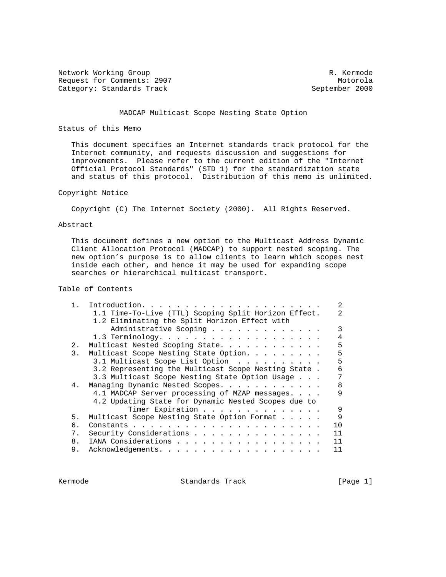Network Working Group and the set of the set of the set of the R. Kermode Request for Comments: 2907 Motorola<br>
Category: Standards Track and September 2000 Category: Standards Track

## MADCAP Multicast Scope Nesting State Option

## Status of this Memo

 This document specifies an Internet standards track protocol for the Internet community, and requests discussion and suggestions for improvements. Please refer to the current edition of the "Internet Official Protocol Standards" (STD 1) for the standardization state and status of this protocol. Distribution of this memo is unlimited.

## Copyright Notice

Copyright (C) The Internet Society (2000). All Rights Reserved.

## Abstract

 This document defines a new option to the Multicast Address Dynamic Client Allocation Protocol (MADCAP) to support nested scoping. The new option's purpose is to allow clients to learn which scopes nest inside each other, and hence it may be used for expanding scope searches or hierarchical multicast transport.

# Table of Contents

|    | Introduction.                                        | 2            |
|----|------------------------------------------------------|--------------|
|    | 1.1 Time-To-Live (TTL) Scoping Split Horizon Effect. | 2            |
|    | 1.2 Eliminating the Split Horizon Effect with        |              |
|    | Administrative Scoping                               | 3            |
|    |                                                      | 4            |
| 2. | Multicast Nested Scoping State.                      | 5            |
| 3. | Multicast Scope Nesting State Option.                | 5            |
|    | 3.1 Multicast Scope List Option                      | 5            |
|    | 3.2 Representing the Multicast Scope Nesting State.  | 6            |
|    | 3.3 Multicast Scope Nesting State Option Usage       | 7            |
| 4. | Managing Dynamic Nested Scopes.                      | 8            |
|    | 4.1 MADCAP Server processing of MZAP messages.       | 9            |
|    | 4.2 Updating State for Dynamic Nested Scopes due to  |              |
|    | Timer Expiration                                     | 9            |
| 5. | Multicast Scope Nesting State Option Format          | $\mathsf{Q}$ |
| б. |                                                      | 10           |
| 7. | Security Considerations                              | 11           |
| 8. | IANA Considerations                                  | 11           |
| 9. | Acknowledgements.                                    | 11           |
|    |                                                      |              |

Kermode Standards Track [Page 1]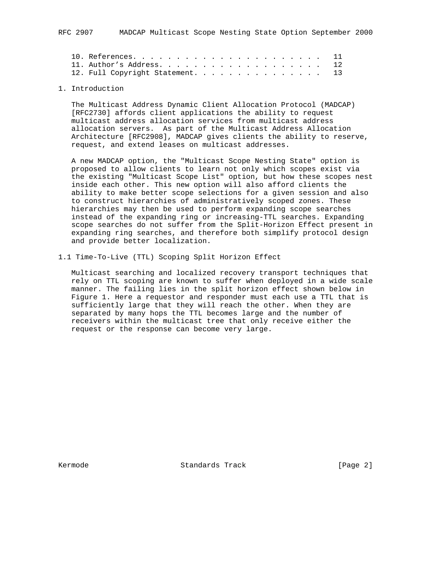| 11. Author's Address. 12         |  |  |  |  |  |  |  |  |
|----------------------------------|--|--|--|--|--|--|--|--|
| 12. Full Copyright Statement. 13 |  |  |  |  |  |  |  |  |

# 1. Introduction

 The Multicast Address Dynamic Client Allocation Protocol (MADCAP) [RFC2730] affords client applications the ability to request multicast address allocation services from multicast address allocation servers. As part of the Multicast Address Allocation Architecture [RFC2908], MADCAP gives clients the ability to reserve, request, and extend leases on multicast addresses.

 A new MADCAP option, the "Multicast Scope Nesting State" option is proposed to allow clients to learn not only which scopes exist via the existing "Multicast Scope List" option, but how these scopes nest inside each other. This new option will also afford clients the ability to make better scope selections for a given session and also to construct hierarchies of administratively scoped zones. These hierarchies may then be used to perform expanding scope searches instead of the expanding ring or increasing-TTL searches. Expanding scope searches do not suffer from the Split-Horizon Effect present in expanding ring searches, and therefore both simplify protocol design and provide better localization.

1.1 Time-To-Live (TTL) Scoping Split Horizon Effect

 Multicast searching and localized recovery transport techniques that rely on TTL scoping are known to suffer when deployed in a wide scale manner. The failing lies in the split horizon effect shown below in Figure 1. Here a requestor and responder must each use a TTL that is sufficiently large that they will reach the other. When they are separated by many hops the TTL becomes large and the number of receivers within the multicast tree that only receive either the request or the response can become very large.

Kermode Standards Track [Page 2]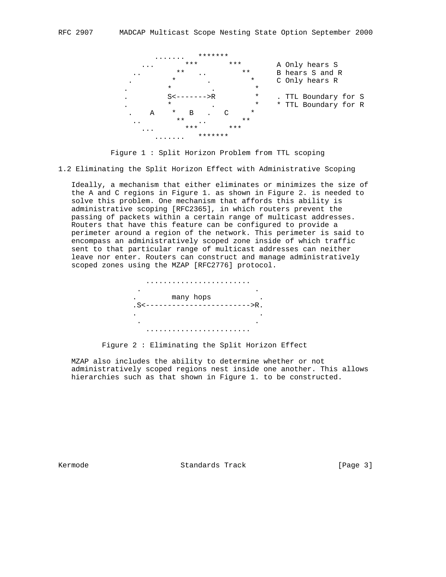

Figure 1 : Split Horizon Problem from TTL scoping

1.2 Eliminating the Split Horizon Effect with Administrative Scoping

 Ideally, a mechanism that either eliminates or minimizes the size of the A and C regions in Figure 1. as shown in Figure 2. is needed to solve this problem. One mechanism that affords this ability is administrative scoping [RFC2365], in which routers prevent the passing of packets within a certain range of multicast addresses. Routers that have this feature can be configured to provide a perimeter around a region of the network. This perimeter is said to encompass an administratively scoped zone inside of which traffic sent to that particular range of multicast addresses can neither leave nor enter. Routers can construct and manage administratively scoped zones using the MZAP [RFC2776] protocol.

| $\bullet$<br>many hops<br>$\bullet$<br>SS<<br>$>$ R<br>-------------- |
|-----------------------------------------------------------------------|
| $\bullet$                                                             |
| $\bullet$                                                             |

Figure 2 : Eliminating the Split Horizon Effect

 MZAP also includes the ability to determine whether or not administratively scoped regions nest inside one another. This allows hierarchies such as that shown in Figure 1. to be constructed.

Kermode **Standards Track** [Page 3]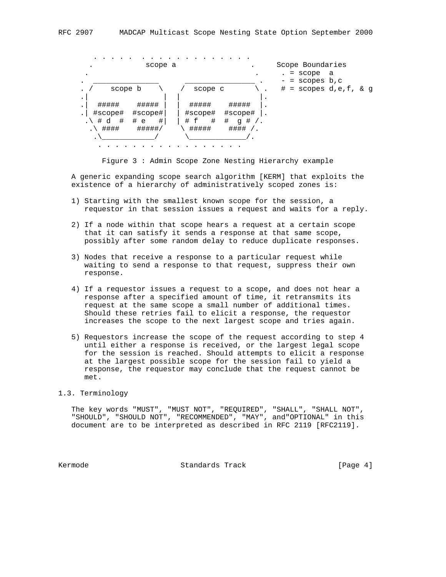

Figure 3 : Admin Scope Zone Nesting Hierarchy example

 A generic expanding scope search algorithm [KERM] that exploits the existence of a hierarchy of administratively scoped zones is:

- 1) Starting with the smallest known scope for the session, a requestor in that session issues a request and waits for a reply.
- 2) If a node within that scope hears a request at a certain scope that it can satisfy it sends a response at that same scope, possibly after some random delay to reduce duplicate responses.
- 3) Nodes that receive a response to a particular request while waiting to send a response to that request, suppress their own response.
- 4) If a requestor issues a request to a scope, and does not hear a response after a specified amount of time, it retransmits its request at the same scope a small number of additional times. Should these retries fail to elicit a response, the requestor increases the scope to the next largest scope and tries again.
- 5) Requestors increase the scope of the request according to step 4 until either a response is received, or the largest legal scope for the session is reached. Should attempts to elicit a response at the largest possible scope for the session fail to yield a response, the requestor may conclude that the request cannot be met.

# 1.3. Terminology

 The key words "MUST", "MUST NOT", "REQUIRED", "SHALL", "SHALL NOT", "SHOULD", "SHOULD NOT", "RECOMMENDED", "MAY", and"OPTIONAL" in this document are to be interpreted as described in RFC 2119 [RFC2119].

Kermode **Standards Track** [Page 4]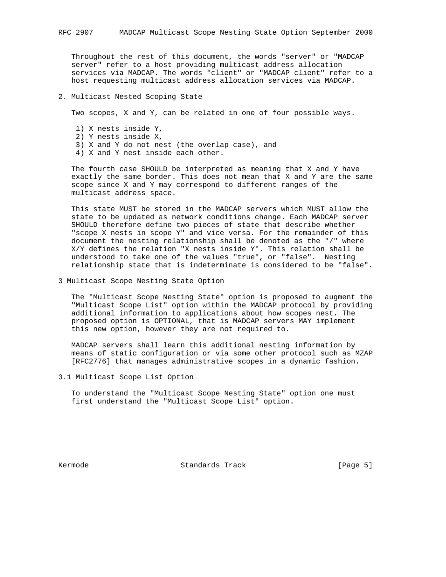Throughout the rest of this document, the words "server" or "MADCAP server" refer to a host providing multicast address allocation services via MADCAP. The words "client" or "MADCAP client" refer to a host requesting multicast address allocation services via MADCAP.

## 2. Multicast Nested Scoping State

Two scopes, X and Y, can be related in one of four possible ways.

- 1) X nests inside Y,
- 2) Y nests inside X,
- 3) X and Y do not nest (the overlap case), and
- 4) X and Y nest inside each other.

 The fourth case SHOULD be interpreted as meaning that X and Y have exactly the same border. This does not mean that X and Y are the same scope since X and Y may correspond to different ranges of the multicast address space.

 This state MUST be stored in the MADCAP servers which MUST allow the state to be updated as network conditions change. Each MADCAP server SHOULD therefore define two pieces of state that describe whether "scope X nests in scope Y" and vice versa. For the remainder of this document the nesting relationship shall be denoted as the "/" where X/Y defines the relation "X nests inside Y". This relation shall be understood to take one of the values "true", or "false". Nesting relationship state that is indeterminate is considered to be "false".

3 Multicast Scope Nesting State Option

 The "Multicast Scope Nesting State" option is proposed to augment the "Multicast Scope List" option within the MADCAP protocol by providing additional information to applications about how scopes nest. The proposed option is OPTIONAL, that is MADCAP servers MAY implement this new option, however they are not required to.

 MADCAP servers shall learn this additional nesting information by means of static configuration or via some other protocol such as MZAP [RFC2776] that manages administrative scopes in a dynamic fashion.

3.1 Multicast Scope List Option

 To understand the "Multicast Scope Nesting State" option one must first understand the "Multicast Scope List" option.

Kermode Standards Track [Page 5]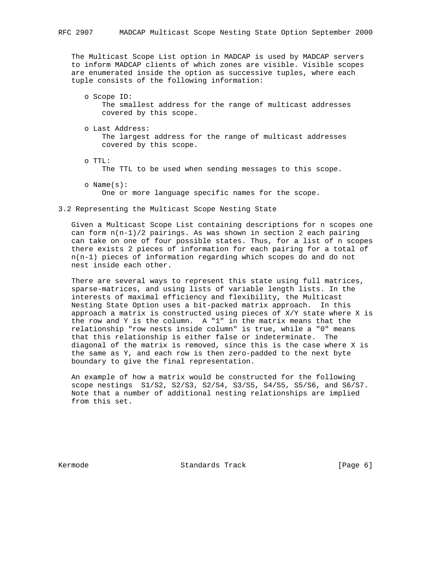The Multicast Scope List option in MADCAP is used by MADCAP servers to inform MADCAP clients of which zones are visible. Visible scopes are enumerated inside the option as successive tuples, where each tuple consists of the following information:

- o Scope ID: The smallest address for the range of multicast addresses covered by this scope.
- o Last Address: The largest address for the range of multicast addresses covered by this scope.
- o TTL: The TTL to be used when sending messages to this scope.
- o Name(s): One or more language specific names for the scope.
- 3.2 Representing the Multicast Scope Nesting State

 Given a Multicast Scope List containing descriptions for n scopes one can form n(n-1)/2 pairings. As was shown in section 2 each pairing can take on one of four possible states. Thus, for a list of n scopes there exists 2 pieces of information for each pairing for a total of n(n-1) pieces of information regarding which scopes do and do not nest inside each other.

 There are several ways to represent this state using full matrices, sparse-matrices, and using lists of variable length lists. In the interests of maximal efficiency and flexibility, the Multicast Nesting State Option uses a bit-packed matrix approach. In this approach a matrix is constructed using pieces of X/Y state where X is the row and Y is the column. A "1" in the matrix means that the relationship "row nests inside column" is true, while a "0" means that this relationship is either false or indeterminate. The diagonal of the matrix is removed, since this is the case where X is the same as Y, and each row is then zero-padded to the next byte boundary to give the final representation.

 An example of how a matrix would be constructed for the following scope nestings S1/S2, S2/S3, S2/S4, S3/S5, S4/S5, S5/S6, and S6/S7. Note that a number of additional nesting relationships are implied from this set.

Kermode **Standards Track** [Page 6]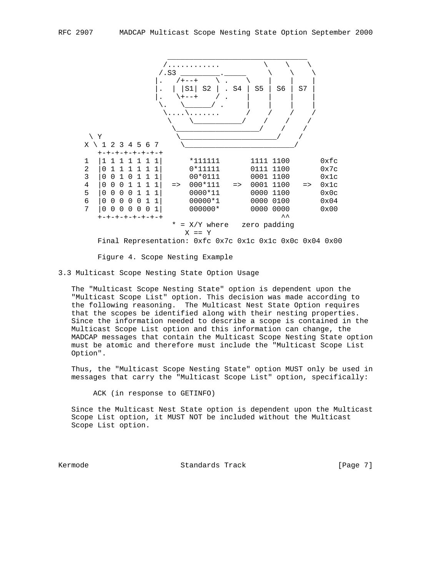

Figure 4. Scope Nesting Example

## 3.3 Multicast Scope Nesting State Option Usage

 The "Multicast Scope Nesting State" option is dependent upon the "Multicast Scope List" option. This decision was made according to the following reasoning. The Multicast Nest State Option requires that the scopes be identified along with their nesting properties. Since the information needed to describe a scope is contained in the Multicast Scope List option and this information can change, the MADCAP messages that contain the Multicast Scope Nesting State option must be atomic and therefore must include the "Multicast Scope List Option".

 Thus, the "Multicast Scope Nesting State" option MUST only be used in messages that carry the "Multicast Scope List" option, specifically:

ACK (in response to GETINFO)

 Since the Multicast Nest State option is dependent upon the Multicast Scope List option, it MUST NOT be included without the Multicast Scope List option.

Kermode Standards Track [Page 7]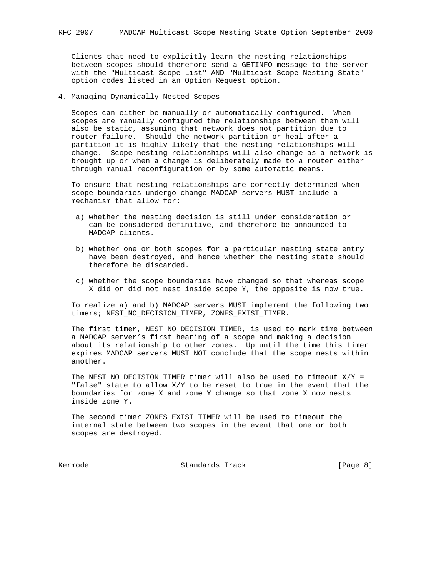Clients that need to explicitly learn the nesting relationships between scopes should therefore send a GETINFO message to the server with the "Multicast Scope List" AND "Multicast Scope Nesting State" option codes listed in an Option Request option.

4. Managing Dynamically Nested Scopes

 Scopes can either be manually or automatically configured. When scopes are manually configured the relationships between them will also be static, assuming that network does not partition due to router failure. Should the network partition or heal after a partition it is highly likely that the nesting relationships will change. Scope nesting relationships will also change as a network is brought up or when a change is deliberately made to a router either through manual reconfiguration or by some automatic means.

 To ensure that nesting relationships are correctly determined when scope boundaries undergo change MADCAP servers MUST include a mechanism that allow for:

- a) whether the nesting decision is still under consideration or can be considered definitive, and therefore be announced to MADCAP clients.
- b) whether one or both scopes for a particular nesting state entry have been destroyed, and hence whether the nesting state should therefore be discarded.
- c) whether the scope boundaries have changed so that whereas scope X did or did not nest inside scope Y, the opposite is now true.

 To realize a) and b) MADCAP servers MUST implement the following two timers; NEST\_NO\_DECISION\_TIMER, ZONES\_EXIST\_TIMER.

 The first timer, NEST\_NO\_DECISION\_TIMER, is used to mark time between a MADCAP server's first hearing of a scope and making a decision about its relationship to other zones. Up until the time this timer expires MADCAP servers MUST NOT conclude that the scope nests within another.

 The NEST\_NO\_DECISION\_TIMER timer will also be used to timeout X/Y = "false" state to allow X/Y to be reset to true in the event that the boundaries for zone X and zone Y change so that zone X now nests inside zone Y.

 The second timer ZONES\_EXIST\_TIMER will be used to timeout the internal state between two scopes in the event that one or both scopes are destroyed.

Kermode Standards Track [Page 8]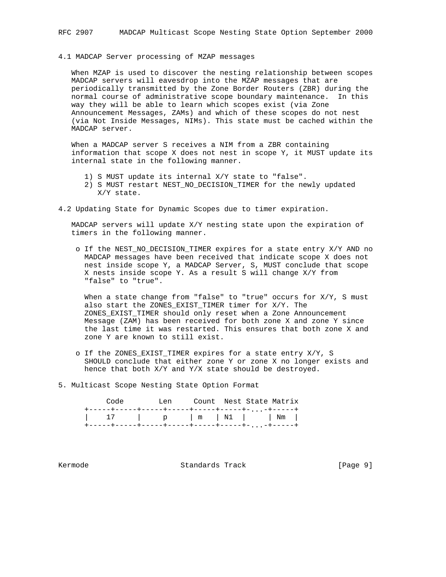#### 4.1 MADCAP Server processing of MZAP messages

 When MZAP is used to discover the nesting relationship between scopes MADCAP servers will eavesdrop into the MZAP messages that are periodically transmitted by the Zone Border Routers (ZBR) during the normal course of administrative scope boundary maintenance. In this way they will be able to learn which scopes exist (via Zone Announcement Messages, ZAMs) and which of these scopes do not nest (via Not Inside Messages, NIMs). This state must be cached within the MADCAP server.

 When a MADCAP server S receives a NIM from a ZBR containing information that scope X does not nest in scope Y, it MUST update its internal state in the following manner.

- 1) S MUST update its internal X/Y state to "false".
- 2) S MUST restart NEST\_NO\_DECISION\_TIMER for the newly updated X/Y state.
- 4.2 Updating State for Dynamic Scopes due to timer expiration.

 MADCAP servers will update X/Y nesting state upon the expiration of timers in the following manner.

 o If the NEST\_NO\_DECISION\_TIMER expires for a state entry X/Y AND no MADCAP messages have been received that indicate scope X does not nest inside scope Y, a MADCAP Server, S, MUST conclude that scope X nests inside scope Y. As a result S will change X/Y from "false" to "true".

When a state change from "false" to "true" occurs for X/Y, S must also start the ZONES\_EXIST\_TIMER timer for X/Y. The ZONES\_EXIST\_TIMER should only reset when a Zone Announcement Message (ZAM) has been received for both zone X and zone Y since the last time it was restarted. This ensures that both zone X and zone Y are known to still exist.

- o If the ZONES\_EXIST\_TIMER expires for a state entry X/Y, S SHOULD conclude that either zone Y or zone X no longer exists and hence that both X/Y and Y/X state should be destroyed.
- 5. Multicast Scope Nesting State Option Format

| Code                                                    | Len |  | Count Nest State Matrix |
|---------------------------------------------------------|-----|--|-------------------------|
| +-----+-----+-----+-----+-----+-----+--+-----+          |     |  |                         |
| 17   p   m   N1     Nm                                  |     |  |                         |
| +-----+-----+-----+-----+-----+-----+- , , , -+-----+ + |     |  |                         |

Kermode Standards Track [Page 9]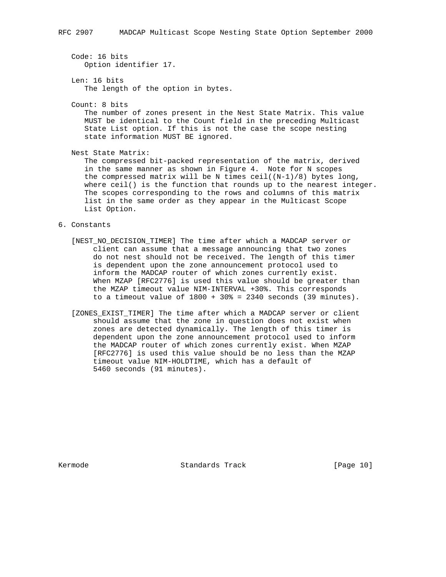Code: 16 bits Option identifier 17.

 Len: 16 bits The length of the option in bytes.

Count: 8 bits

 The number of zones present in the Nest State Matrix. This value MUST be identical to the Count field in the preceding Multicast State List option. If this is not the case the scope nesting state information MUST BE ignored.

Nest State Matrix:

 The compressed bit-packed representation of the matrix, derived in the same manner as shown in Figure 4. Note for N scopes the compressed matrix will be N times  $ceil((N-1)/8)$  bytes long, where ceil() is the function that rounds up to the nearest integer. The scopes corresponding to the rows and columns of this matrix list in the same order as they appear in the Multicast Scope List Option.

- 6. Constants
	- [NEST\_NO\_DECISION\_TIMER] The time after which a MADCAP server or client can assume that a message announcing that two zones do not nest should not be received. The length of this timer is dependent upon the zone announcement protocol used to inform the MADCAP router of which zones currently exist. When MZAP [RFC2776] is used this value should be greater than the MZAP timeout value NIM-INTERVAL +30%. This corresponds to a timeout value of  $1800 + 30$  = 2340 seconds (39 minutes).
	- [ZONES\_EXIST\_TIMER] The time after which a MADCAP server or client should assume that the zone in question does not exist when zones are detected dynamically. The length of this timer is dependent upon the zone announcement protocol used to inform the MADCAP router of which zones currently exist. When MZAP [RFC2776] is used this value should be no less than the MZAP timeout value NIM-HOLDTIME, which has a default of 5460 seconds (91 minutes).

Kermode Standards Track [Page 10]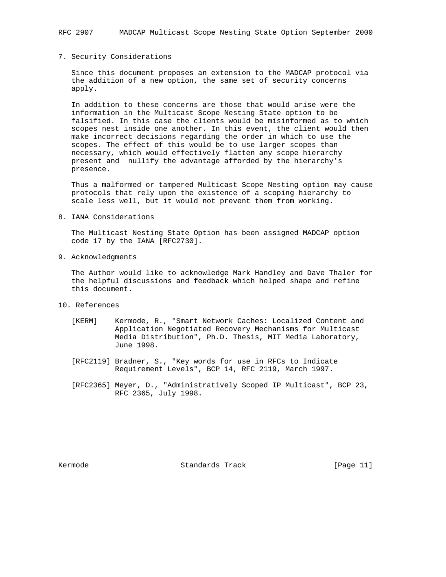#### 7. Security Considerations

 Since this document proposes an extension to the MADCAP protocol via the addition of a new option, the same set of security concerns apply.

 In addition to these concerns are those that would arise were the information in the Multicast Scope Nesting State option to be falsified. In this case the clients would be misinformed as to which scopes nest inside one another. In this event, the client would then make incorrect decisions regarding the order in which to use the scopes. The effect of this would be to use larger scopes than necessary, which would effectively flatten any scope hierarchy present and nullify the advantage afforded by the hierarchy's presence.

 Thus a malformed or tampered Multicast Scope Nesting option may cause protocols that rely upon the existence of a scoping hierarchy to scale less well, but it would not prevent them from working.

8. IANA Considerations

 The Multicast Nesting State Option has been assigned MADCAP option code 17 by the IANA [RFC2730].

9. Acknowledgments

 The Author would like to acknowledge Mark Handley and Dave Thaler for the helpful discussions and feedback which helped shape and refine this document.

- 10. References
	- [KERM] Kermode, R., "Smart Network Caches: Localized Content and Application Negotiated Recovery Mechanisms for Multicast Media Distribution", Ph.D. Thesis, MIT Media Laboratory, June 1998.
	- [RFC2119] Bradner, S., "Key words for use in RFCs to Indicate Requirement Levels", BCP 14, RFC 2119, March 1997.
	- [RFC2365] Meyer, D., "Administratively Scoped IP Multicast", BCP 23, RFC 2365, July 1998.

Kermode Standards Track [Page 11]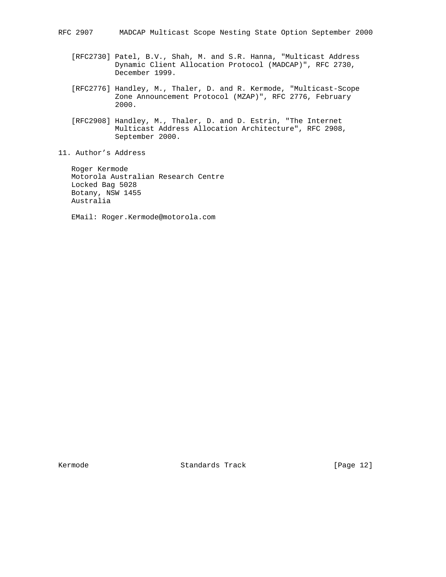RFC 2907 MADCAP Multicast Scope Nesting State Option September 2000

- [RFC2730] Patel, B.V., Shah, M. and S.R. Hanna, "Multicast Address Dynamic Client Allocation Protocol (MADCAP)", RFC 2730, December 1999.
- [RFC2776] Handley, M., Thaler, D. and R. Kermode, "Multicast-Scope Zone Announcement Protocol (MZAP)", RFC 2776, February 2000.
- [RFC2908] Handley, M., Thaler, D. and D. Estrin, "The Internet Multicast Address Allocation Architecture", RFC 2908, September 2000.
- 11. Author's Address

 Roger Kermode Motorola Australian Research Centre Locked Bag 5028 Botany, NSW 1455 Australia

EMail: Roger.Kermode@motorola.com

Kermode Standards Track [Page 12]